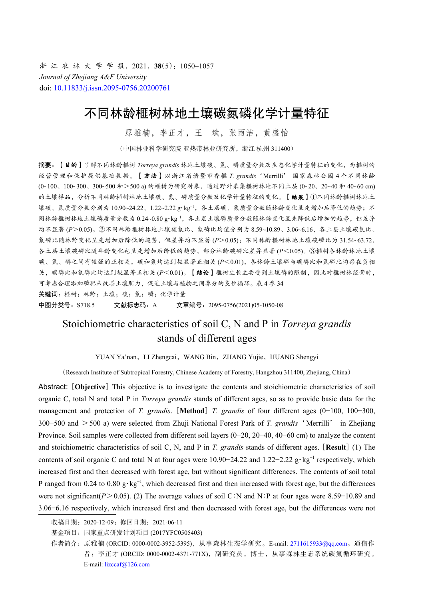浙 江 农 林 大 学 学 报,2021,**38**(5):1050–1057 *Journal of Zhejiang A&F University* doi: [10.11833/j.issn.2095-0756.20200761](https://doi.org/10.11833/j.issn.2095-0756.20200761)

# 不同林龄榧树林地土壤碳氮磷化学计量特征

原雅楠,李正才,王 斌,张雨洁,黄盛怡

(中国林业科学研究院 亚热带林业研究所,浙江 杭州 311400)

摘要:【目的】了解不同林龄榧树 *Torreya grandis* 林地土壤碳、氮、磷质量分数及生态化学计量特征的变化,为榧树的 经营管理和保护提供基础数据。【方法】以浙江省诸暨市香榧 *T. grandis*'Merrilli' 国家森林公园 4 个不同林龄 (0~100、100~300、300~500 和>500 a) 的榧树为研究对象,通过野外采集榧树林地不同土层 (0~20、20~40 和 40~60 cm) 的土壤样品,分析不同林龄榧树林地土壤碳、氮、磷质量分数及化学计量特征的变化。【结果】①不同林龄榧树林地土 壤碳、氮质量分数分别为 10.90~24.22、1.22~2.22 g·kg<sup>-1</sup>, 各土层碳、氮质量分数随林龄变化呈先增加后降低的趋势;不 同林龄榧树林地土壤磷质量分数为 0.24~0.80 g·kg<sup>-1</sup>, 各土层土壤磷质量分数随林龄变化呈先降低后增加的趋势, 但差异 均不显著 (*P*>0.05)。②不同林龄榧树林地土壤碳氮比、氮磷比均值分别为 8.59~10.89、3.06~6.16,各土层土壤碳氮比、 氮磷比随林龄变化呈先增加后降低的趋势,但差异均不显著 (*P*>0.05);不同林龄榧树林地土壤碳磷比为 31.54~63.72, 各土层土壤碳磷比随年龄变化也呈先增加后降低的趋势,部分林龄碳磷比差异显著 (*P*<0.05)。③榧树各林龄林地土壤 碳、氮、磷之间有较强的正相关,碳和氮均达到极显著正相关 (*P*<0.01),各林龄土壤磷与碳磷比和氮磷比均存在负相 关,碳磷比和氮磷比均达到极显著正相关 (*P*<0.01)。【结论】榧树生长主要受到土壤磷的限制,因此对榧树林经营时, 可考虑合理添加磷肥来改善土壤肥力,促进土壤与植物之间养分的良性循环。表 4 参 34 关键词: 榧树; 林龄; 土壤; 碳; 氮; 磷; 化学计量 中图分类号: S718.5 文献标志码: A 文章编号: 2095-0756(2021)05-1050-08

# Stoichiometric characteristics of soil C, N and P in *Torreya grandis* stands of different ages

YUAN Ya'nan, LI Zhengcai, WANG Bin, ZHANG Yujie, HUANG Shengyi

(Research Institute of Subtropical Forestry, Chinese Academy of Forestry, Hangzhou 311400, Zhejiang, China)

Abstract: [**Objective**] This objective is to investigate the contents and stoichiometric characteristics of soil organic C, total N and total P in *Torreya grandis* stands of different ages, so as to provide basic data for the management and protection of *T. grandis*. [**Method**] *T. grandis* of four different ages (0−100, 100−300, 300−500 and >500 a) were selected from Zhuji National Forest Park of *T. grandis*'Merrilli' in Zhejiang Province. Soil samples were collected from different soil layers (0−20, 20−40, 40−60 cm) to analyze the content and stoichiometric characteristics of soil C, N, and P in *T. grandis* stands of different ages. [**Result**] (1) The contents of soil organic C and total N at four ages were  $10.90-24.22$  and  $1.22-2.22$  g·kg<sup>-1</sup> respectively, which increased first and then decreased with forest age, but without significant differences. The contents of soil total P ranged from 0.24 to 0.80 g⋅kg<sup>-1</sup>, which decreased first and then increased with forest age, but the differences were not significant(*P*>0.05). (2) The average values of soil C∶N and N∶P at four ages were 8.59−10.89 and 3.06−6.16 respectively, which increased first and then decreased with forest age, but the differences were not

收稿日期:2020-12-09;修回日期:2021-06-11

基金项目:国家重点研发计划项目 (2017YFC0505403)

作者简介:原雅楠 (ORCID: 0000-0002-3952-5395), 从事森林生态学研究。E-mail: [2711615933@qq.com](mailto:2711615933@qq.com)。通信作 者:李正才 (ORCID: 0000-0002-4371-771X),副研究员,博士,从事森林生态系统碳氮循环研究。 E-mail: [lizccaf@126.com](mailto:lizccaf@126.com)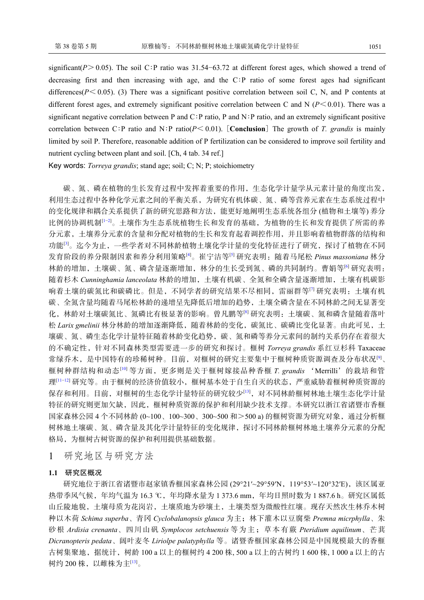significant( $P$ >0.05). The soil C∶P ratio was 31.54–63.72 at different forest ages, which showed a trend of decreasing first and then increasing with age, and the C∶P ratio of some forest ages had significant differences( $P \le 0.05$ ). (3) There was a significant positive correlation between soil C, N, and P contents at different forest ages, and extremely significant positive correlation between C and N  $(P<0.01)$ . There was a significant negative correlation between P and C∶P ratio, P and N∶P ratio, and an extremely significant positive correlation between C∶P ratio and N∶P ratio(*P*< 0.01). [**Conclusion**] The growth of *T. grandis* is mainly limited by soil P. Therefore, reasonable addition of P fertilization can be considered to improve soil fertility and nutrient cycling between plant and soil. [Ch, 4 tab. 34 ref.]

Key words: *Torreya grandis*; stand age; soil; C; N; P; stoichiometry

碳、氮、磷在植物的生长发育过程中发挥着重要的作用,生态化学计量学从元素计量的角度出发, 利用生态过程中各种化学元素之间的平衡关系,为研究有机体碳、氮、磷等营养元素在生态系统过程中 的变化规律和耦合关系提供了新的研究思路和方法,能更好地阐明生态系统各组分 (植物和土壤等) 养分 比例的协调机制[\[1](#page-5-0)−[2\]](#page-5-1)。土壤作为生态系统植物生长和发育的基础,为植物的生长和发育提供了所需的养 分元素,土壤养分元素的含量和分配对植物的生长和发育起着调控作用,并且影响着植物群落的结构和 功能<sup>[[3\]](#page-5-2)</sup>。迄今为止,一些学者对不同林龄植物土壤化学计量的变化特征进行了研究,探讨了植物在不同 发育阶段的养分限制因素和养分利用策略[\[4\]](#page-5-3)。崔宁洁等[\[5](#page-5-4)] 研究表明:随着马尾松 *Pinus massoniana* 林分 林龄的增加,土壤碳、氮、磷含量逐渐增加,林分的生长受到氮、磷的共同制约。曹娟等[[6\]](#page-5-5) 研究表明: 随着杉木 *Cunninghamia lanceolata* 林龄的增加,土壤有机碳、全氮和全磷含量逐渐增加,土壤有机碳影 响着土壤的碳氮比和碳磷比。但是,不同学者的研究结果不尽相同,雷丽群等[[7\]](#page-5-6) 研究表明:土壤有机 碳、全氮含量均随着马尾松林龄的递增呈先降低后增加的趋势,土壤全磷含量在不同林龄之间无显著变 化,林龄对土壤碳氮比、氮磷比有极显著的影响。曾凡鹏等<sup>[\[8](#page-6-0)]</sup> 研究表明:土壤碳、氮和磷含量随着落叶 松 *Larix gmelinii* 林分林龄的增加逐渐降低,随着林龄的变化,碳氮比、碳磷比变化显著。由此可见,土 壤碳、氮、磷生态化学计量特征随着林龄变化趋势,碳、氮和磷等养分元素间的制约关系仍存在着很大 的不确定性,针对不同森林类型需要进一步的研究和探讨。榧树 *Torreya grandis* 系红豆杉科 Taxaceae 常绿乔木,是中国特有的珍稀树种。目前,对榧树的研究主要集中于榧树种质资源调查及分布状况[\[9](#page-6-1)]、 榧树种群结构和动态[[10\]](#page-6-2) 等方面,更多则是关于榧树嫁接品种香榧 *T. grandis* 'Merrilli'的栽培和管 理[1-12] 研究等。由于榧树的经济价值较小, 榧树基本处于自生自灭的状态, 严重威胁着榧树种质资源的 保存和利用。目前,对榧树的生态化学计量特征的研究较少[[13\]](#page-6-5),对不同林龄榧树林地土壤生态化学计量 特征的研究则更加欠缺,因此,榧树种质资源的保护和利用缺少技术支撑。本研究以浙江省诸暨市香榧 国家森林公园 4 个不同林龄 (0~100、100~300、300~500 和 > 500 a) 的榧树资源为研究对象, 通过分析榧 树林地土壤碳、氮、磷含量及其化学计量特征的变化规律,探讨不同林龄榧树林地土壤养分元素的分配 格局,为榧树古树资源的保护和利用提供基础数据。

1 研究地区与研究方法

## **1.1** 研究区概况

研究地位于浙江省诸暨市赵家镇香榧国家森林公园 (29°21′~29°59′N, 119°53′~120°32′E), 该区属亚 热带季风气候,年均气温为 16.3 ℃,年均降水量为 1 373.6 mm,年均日照时数为 1 887.6 h。研究区属低 山丘陵地貌,土壤母质为花岗岩,土壤质地为砂壤土,土壤类型为微酸性红壤。现存天然次生林乔木树 种以木荷 *Schima superba*、青冈 *Cyclobalanopsis glauca* 为主;林下灌木以豆腐柴 *Premna micrphylla*、朱 砂根 *Ardisia crenanta*、四川山矾 *Symplocos setchuensis* 等为主;草本有蕨 *Pteridium aquilinum*、芒萁 *Dicranopteris pedata*、阔叶麦冬 *Liriolpe palatyphylla* 等。诸暨香榧国家森林公园是中国规模最大的香榧 古树集聚地,据统计, 树龄 100 a 以上的榧树约 4 200 株, 500 a 以上的古树约 1 600 株, 1 000 a 以上的古 树约 200 株, 以雌株为主[[13](#page-6-5)]。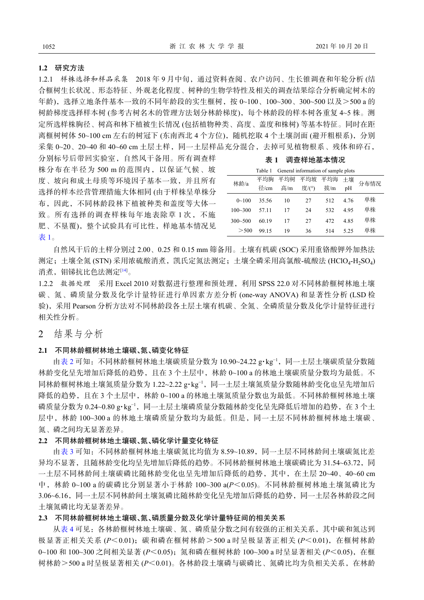### **1.2** 研究方法

1.2.1 样株选择和样品采集 2018 年 9 月中旬,通过资料查阅、农户访问、生长锥调查和年轮分析 (结 合榧树生长状况、形态特征、外观老化程度、树种的生物学特性及相关的调查结果综合分析确定树木的 年龄),选择立地条件基本一致的不同年龄段的实生榧树,按 0~100、100~300、300~500 以及>500 a 的 树龄梯度选择样本树 (参考古树名木的管理方法划分林龄梯度),每个林龄段的样本树各重复 4~5 株。测 定所选样株胸径、树高和林下植被生长情况 (包括植物种类、高度、盖度和株树) 等基本特征。同时在距 离榧树树体 50~100 cm 左右的树冠下 (东南西北 4个方位), 随机挖取 4 个土壤剖面 (避开粗根系), 分别 采集 0~20、20~40 和 40~60 cm 土层土样,同一土层样品充分混合,去掉可见植物根系、残体和碎石,

分别标号后带回实验室,自然风干备用。所有调查样 株分布在半径为 500 m 的范围内,以保证气候、坡 度、坡向和成土母质等环境因子基本一致,并且所有 选择的样本经营管理措施大体相同 (由于样株呈单株分 布,因此,不同林龄段林下植被种类和盖度等大体一 致。所有选择的调查样株每年地表除草 1 次, 不施 肥、不垦覆), 整个试验具有可比性, 样地基本情况见 [表](#page-2-0) [1](#page-2-0)。

表 **1** 调查样地基本情况

<span id="page-2-0"></span>

|             | Table 1 | General information of sample plots |       |     |       |      |  |  |
|-------------|---------|-------------------------------------|-------|-----|-------|------|--|--|
| 林龄/a        | 平均胸     | 平均树                                 | 平均坡   | 平均海 | 十壤    | 分布情况 |  |  |
|             | 径/cm    | 高/m                                 | 度/(°) | 拔/m | pH    |      |  |  |
| $0 - 100$   | 35.56   | 10                                  | 27    | 512 | 4 7 6 | 单株   |  |  |
| $100 - 300$ | 57 11   | 17                                  | 24    | 532 | 495   | 单株   |  |  |
| $300 - 500$ | 60 19   | 17                                  | 27    | 472 | 4.85  | 单株   |  |  |
| > 500       | 99 15   | 19                                  | 36    | 514 | 525   | 单株   |  |  |

自然风干后的土样分别过 2.00、0.25 和 0.15 mm 筛备用。土壤有机碳 (SOC) 采用重铬酸钾外加热法 测定;土壤全氮 (STN) 采用浓硫酸消煮,凯氏定氮法测定;土壤全磷采用高氯酸-硫酸法 (HClO4-H<sub>2</sub>SO<sub>4</sub>) 消煮, 钼锑抗比色法测定[\[14](#page-6-6)]。

1.2.2 数据处理 采用 Excel 2010 对数据进行整理和预处理,利用 SPSS 22.0 对不同林龄榧树林地土壤 碳、氮、磷质量分数及化学计量特征进行单因素方差分析 (one-way ANOVA) 和显著性分析 (LSD 检 验),采用 Pearson 分析方法对不同林龄段各土层土壤有机碳、全氮、全磷质量分数及化学计量特征进行 相关性分析。

2 结果与分析

### **2.1** 不同林龄榧树林地土壤碳、氮、磷变化特征

由[表](#page-3-0) [2](#page-3-0) 可知:不同林龄榧树林地土壤碳质量分数为 10.90~24.22 g·kg−1,同一土层土壤碳质量分数随 林龄变化呈先增加后降低的趋势,且在 3 个土层中,林龄 0~100 a 的林地土壤碳质量分数均为最低。不 同林龄榧树林地土壤氮质量分数为 1.22~2.22 g·kg<sup>-1</sup>,同一土层土壤氮质量分数随林龄变化也呈先增加后 降低的趋势,且在 3 个土层中,林龄 0~100 a 的林地土壤氮质量分数也为最低。不同林龄榧树林地土壤 磷质量分数为 0.24~0.80 g·kg<sup>-1</sup>,同一土层土壤磷质量分数随林龄变化呈先降低后增加的趋势, 在 3 个土 层中,林龄 100~300 a 的林地土壤磷质量分数均为最低。但是,同一土层不同林龄榧树林地土壤碳、 氮、磷之间均无显著差异。

#### **2.2** 不同林龄榧树林地土壤碳、氮、磷化学计量变化特征

由[表](#page-3-1) [3](#page-3-1) 可知:不同林龄榧树林地土壤碳氮比均值为 8.59~10.89,同一土层不同林龄间土壤碳氮比差 异均不显著,且随林龄变化均呈先增加后降低的趋势。不同林龄榧树林地土壤碳磷比为 31.54~63.72,同 一土层不同林龄间土壤碳磷比随林龄变化也呈先增加后降低的趋势,其中,在土层 20~40、40~60 cm 中,林龄 0~100 a 的碳磷比分别显著小于林龄 100~300 a(*P*<0.05)。不同林龄榧树林地土壤氮磷比为 3.06~6.16,同一土层不同林龄间土壤氮磷比随林龄变化呈先增加后降低的趋势,同一土层各林龄段之间 土壤氮磷比均无显著差异。

## **2.3** 不同林龄榧树林地土壤碳、氮、磷质量分数及化学计量特征间的相关关系

从[表](#page-3-2) [4](#page-3-2) 可见: 各林龄榧树林地土壤碳、氮、磷质量分数之间有较强的正相关关系,其中碳和氮达到 极显著正相关关系 (*P*<0.01); 碳和磷在榧树林龄 > 500 a 时呈极显著正相关 (*P*<0.01), 在榧树林龄 0~100 和 100~300 之间相关显著 (*P*<0.05);氮和磷在榧树林龄 100~300 a 时呈显著相关 (*P*<0.05),在榧 树林龄>500 a 时呈极显著相关 (*P*<0.01)。各林龄段土壤磷与碳磷比、氮磷比均为负相关关系,在林龄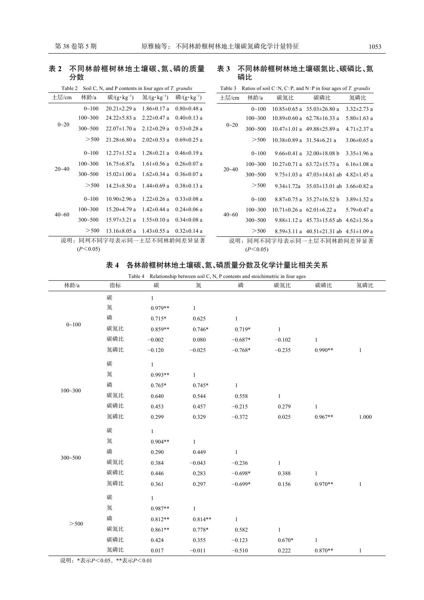# <span id="page-3-0"></span>表 **2** 不同林龄榧树林地土壤碳、氮、磷的质量 分数

| 土层/cm     | 林龄/a        | 碳/ $(g \cdot kg^{-1})$ | 氡/ $(g \cdot kg^{-1})$ | 磷/ $(g \cdot kg^{-1})$ |
|-----------|-------------|------------------------|------------------------|------------------------|
| $0 - 20$  | $0 - 100$   | $20.21 \pm 2.29$ a     | $1.86 \pm 0.17$ a      | $0.80 \pm 0.48$ a      |
|           | $100 - 300$ | $24.22 \pm 5.83$ a     | $2.22 \pm 0.47$ a      | $0.40 \pm 0.13$ a      |
|           | $300 - 500$ | $22.07 \pm 1.70$ a     | $2.12\pm0.29$ a        | $0.53 \pm 0.28$ a      |
|           | > 500       | $21.28 \pm 6.80$ a     | $2.02 \pm 0.53$ a      | $0.69 \pm 0.25$ a      |
|           | $0 - 100$   | $12.27 \pm 1.52$ a     | $128 \pm 021a$         | $0.46 \pm 0.19$ a      |
| $20 - 40$ | $100 - 300$ | $16.75 \pm 6.87a$      | $1.61 \pm 0.56$ a      | $0.26 \pm 0.07$ a      |
|           | $300 - 500$ | $15.02 \pm 1.00$ a     | $1.62 \pm 0.34$ a      | $0.36 \pm 0.07$ a      |
|           | > 500       | $14.23 \pm 8.50$ a     | $1.44 \pm 0.69$ a      | $0.38 \pm 0.13$ a      |
|           | $0 - 100$   | $10.90 \pm 2.96$ a     | $1.22 \pm 0.26$ a      | $0.33 \pm 0.08$ a      |
| $40 - 60$ | $100 - 300$ | $15.20 \pm 4.79$ a     | $1.42 \pm 0.44$ a      | $0.24 \pm 0.06$ a      |
|           | $300 - 500$ | $15.97 \pm 3.21$ a     | $1.55 \pm 0.10$ a      | $0.34 \pm 0.08$ a      |
|           | > 500       | $13.16 \pm 8.05$ a     | $1.43 \pm 0.55$ a      | $0.32 \pm 0.14$ a      |
| 说明:       |             | 同列不同字母表示同一土层不同林龄间差异显著  |                        |                        |
|           | (P<0.05)    |                        |                        |                        |

## Table 2 Soil C, N, and P contents in four ages of *T. grandis*

## <span id="page-3-1"></span>表 **3** 不同林龄榧树林地土壤碳氮比、碳磷比、氮 磷比

|  | Table 3 Ratios of soil C:N, C:P, and N:P in four ages of T. grandis |  |  |  |  |  |
|--|---------------------------------------------------------------------|--|--|--|--|--|
|--|---------------------------------------------------------------------|--|--|--|--|--|

| 十层/cm                        | 林龄/a        | 碳氮比 | 碳磷比                                                      | 氮磷比               |  |  |
|------------------------------|-------------|-----|----------------------------------------------------------|-------------------|--|--|
| $0 - 20$                     | $0 - 100$   |     | $10.85 \pm 0.65$ a $35.03 \pm 26.80$ a                   | $3.32 \pm 2.73$ a |  |  |
|                              | $100 - 300$ |     | $10.89 \pm 0.60$ a 62.78 $\pm 16.33$ a                   | $5.80 \pm 1.63$ a |  |  |
|                              | $300 - 500$ |     | $10.47 \pm 1.01$ a $49.88 \pm 25.89$ a                   | $4.71 \pm 2.37$ a |  |  |
|                              | > 500       |     | $10.38 \pm 0.89$ a $31.54 \pm 6.21$ a                    | $3.06 \pm 0.65$ a |  |  |
| $20 - 40$                    | $0 - 100$   |     | $9.66 \pm 0.41$ a $32.00 \pm 18.08$ b                    | $3.35 \pm 1.96$ a |  |  |
|                              | $100 - 300$ |     | $10.27 \pm 0.71$ a 63.72 $\pm$ 15.73 a                   | $6.16 \pm 1.08$ a |  |  |
|                              | $300 - 500$ |     | 9.75 $\pm$ 1.03 a 47.03 $\pm$ 14.61 ab 4.82 $\pm$ 1.45 a |                   |  |  |
|                              | > 500       |     |                                                          |                   |  |  |
|                              | $0 - 100$   |     | $8.87\pm0.75$ a $35.27\pm16.52$ b                        | $3.89 \pm 1.52$ a |  |  |
| $40 - 60$                    | $100 - 300$ |     | $10.71 \pm 0.26$ a 62.01 $\pm 6.22$ a                    | $5.79 \pm 0.47$ a |  |  |
|                              | $300 - 500$ |     | 9.88 $\pm$ 1.12 a 45.73 $\pm$ 15.65 ab 4.62 $\pm$ 1.56 a |                   |  |  |
|                              | > 500       |     | 8.59 $\pm$ 3.11 a 40.51 $\pm$ 21.31 ab 4.51 $\pm$ 1.09 a |                   |  |  |
| 同列不同字母表示同一土层不同林龄间差异显著<br>说明: |             |     |                                                          |                   |  |  |

 $(P<0.05)$ 

# 表 **4**  各林龄榧树林地土壤碳、氮、磷质量分数及化学计量比相关关系

<span id="page-3-2"></span>Table 4 Relationship between soil C, N, P contents and stoichimetric in four ages

| 林龄/a        | 指标  | 碳            | 氮            | 磷            | 碳氮比          | 碳磷比          | 氮磷比          |
|-------------|-----|--------------|--------------|--------------|--------------|--------------|--------------|
|             | 碳   | $\mathbf{1}$ |              |              |              |              |              |
| $0 - 100$   | 氮   | 0.979**      | $\,1$        |              |              |              |              |
|             | 磷   | $0.715*$     | 0.625        | $\mathbf{1}$ |              |              |              |
|             | 碳氮比 | $0.859**$    | $0.746*$     | $0.719*$     | $\mathbf{1}$ |              |              |
|             | 碳磷比 | $-0.002$     | 0.080        | $-0.687*$    | $-0.102$     | $\mathbf{1}$ |              |
|             | 氮磷比 | $-0.120$     | $-0.025$     | $-0.768*$    | $-0.235$     | $0.990**$    | $\mathbf{1}$ |
|             | 碳   | $\mathbf{1}$ |              |              |              |              |              |
|             | 氮   | 0.993**      | $\mathbf{1}$ |              |              |              |              |
|             | 磷   | $0.765*$     | $0.745*$     | $\mathbf{1}$ |              |              |              |
| $100 - 300$ | 碳氮比 | 0.640        | 0.544        | 0.558        | $\mathbf{1}$ |              |              |
|             | 碳磷比 | 0.453        | 0.457        | $-0.215$     | 0.279        | $\mathbf{1}$ |              |
|             | 氮磷比 | 0.299        | 0.329        | $-0.372$     | 0.025        | $0.967**$    | 1.000        |
|             | 碳   | $\mathbf{1}$ |              |              |              |              |              |
|             | 氮   | $0.904**$    | $\mathbf{1}$ |              |              |              |              |
|             | 磷   | 0.290        | 0.449        | $\mathbf{1}$ |              |              |              |
| $300 - 500$ | 碳氮比 | 0.384        | $-0.043$     | $-0.236$     | $\mathbf{1}$ |              |              |
|             | 碳磷比 | 0.446        | 0.283        | $-0.698*$    | 0.388        | $\mathbf{1}$ |              |
|             | 氮磷比 | 0.361        | 0.297        | $-0.699*$    | 0.156        | $0.970**$    | $\mathbf{1}$ |
|             | 碳   | $\mathbf{1}$ |              |              |              |              |              |
|             | 氮   | 0.987**      | $\mathbf{1}$ |              |              |              |              |
|             | 磷   | $0.812**$    | $0.814**$    | $\mathbf{1}$ |              |              |              |
| > 500       | 碳氮比 | $0.861**$    | 0.778*       | 0.582        | $\mathbf{1}$ |              |              |
|             | 碳磷比 | 0.424        | 0.355        | $-0.123$     | $0.670*$     | $\mathbf{1}$ |              |
|             | 氮磷比 | 0.017        | $-0.011$     | $-0.510$     | 0.222        | $0.870**$    | 1            |

说明:\*表示*P*<0.05,\*\*表示*P*<0.01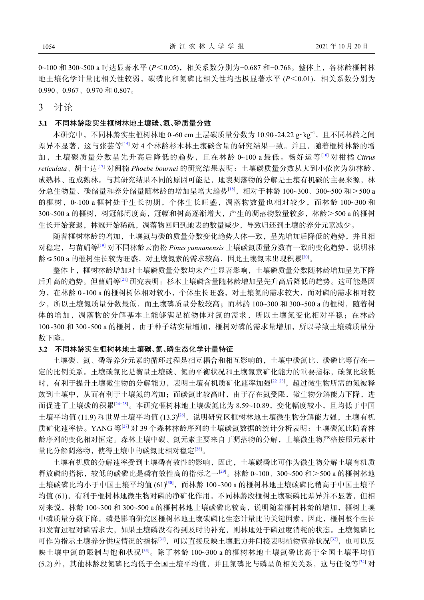0~100 和 300~500 a 时达显著水平 (*P*<0.05),相关系数分别为−0.687 和−0.768。整体上,各林龄榧树林 地土壤化学计量比相关性较弱,碳磷比和氮磷比相关性均达极显著水平 (*P*<0.01),相关系数分别为 0.990、0.967、0.970 和 0.807。

3 讨论

## **3.1** 不同林龄段实生榧树林地土壤碳、氮、磷质量分数

本研究中,不同林龄实生榧树林地 0~60 cm 土层碳质量分数为 10.90~24.22 g·kg<sup>-1</sup>, 且不同林龄之间 差异不显著,这与张芸等[[15](#page-6-7)] 对 4 个林龄杉木林土壤碳含量的研究结果一致。并且,随着榧树林龄的增 加,土壤碳质量分数呈先升高后降低的趋势,且在林龄 0~100 a 最低。杨好运等[\[16\]](#page-6-8) 对柑橘 *Citrus reticulata*、胡士达[\[17](#page-6-9)] 对闽楠 *Phoebe bournei* 的研究结果表明:土壤碳质量分数从大到小依次为幼林龄、 成熟林、近成熟林。与其研究结果不同的原因可能是,地表凋落物的分解是土壤有机碳的主要来源,林 分总生物量、碳储量和养分储量随林龄的增加呈增大趋势[\[18](#page-6-10)],相对于林龄 100~300、300~500 和>500 a 的榧树,0~100 a 榧树处于生长初期,个体生长旺盛,凋落物数量也相对较少,而林龄 100~300 和 300~500 a 的榧树,树冠郁闭度高,冠幅和树高逐渐增大,产生的凋落物数量较多,林龄>500 a 的榧树 生长开始衰退,林冠开始稀疏,凋落物回归到地表的数量减少,导致归还到土壤的养分元素减少。

随着榧树林龄的增加,土壤氮与碳的质量分数变化趋势大体一致,呈先增加后降低的趋势,并且相 对稳定,与苗娟等<sup>[\[19](#page-6-11)]</sup> 对不同林龄云南松 *Pinus vunnanensis* 土壤碳氮质量分数有一致的变化趋势, 说明林 龄≤500 a 的榧树生长较为旺盛,对土壤氮素的需求较高,因此土壤氮未出现积累[[20](#page-6-12)]。

整体上,榧树林龄增加对土壤磷质量分数均未产生显著影响,土壤磷质量分数随林龄增加呈先下降 后升高的趋势。但曹娟等[\[21](#page-6-13)] 研究表明:杉木土壤磷含量随林龄增加呈先升高后降低的趋势。这可能是因 为,在林龄 0~100 a 的榧树树体相对较小,个体生长旺盛,对土壤氮的需求较大,而对磷的需求相对较 少,所以土壤氮质量分数最低,而土壤磷质量分数较高;而林龄 100~300 和 300~500 a 的榧树,随着树 体的增加,凋落物的分解基本上能够满足植物体对氮的需求,所以土壤氮变化相对平稳;在林龄 100~300 和 300~500 a 的榧树,由于种子结实量增加,榧树对磷的需求量增加,所以导致土壤磷质量分 数下降。

### **3.2** 不同林龄实生榧树林地土壤碳、氮、磷生态化学计量特征

土壤碳、氮、磷等养分元素的循环过程是相互耦合和相互影响的,土壤中碳氮比、碳磷比等存在一 定的比例关系。土壤碳氮比是衡量土壤碳、氮的平衡状况和土壤氮素矿化能力的重要指标,碳氮比较低 时,有利于提升土壤微生物的分解能力,表明土壤有机质矿化速率加强[[22](#page-7-0)-23],超过微生物所需的氮被释 放到土壤中,从而有利于土壤氮的增加;而碳氮比较高时,由于存在氮受限,微生物分解能力下降,进 而促进了土壤碳的积累[\[24−](#page-7-2)[25](#page-7-3)]。本研究榧树林地土壤碳氮比为 8.59~10.89,变化幅度较小,且均低于中国 土壤平均值 (11.9) 和世界土壤平均值 (13.3)<sup>[\[26](#page-7-4)]</sup>,说明研究区榧树林地土壤微生物分解能力强,土壤有机 质矿化速率快。YANG 等<sup>[\[27](#page-7-5)]</sup> 对 39 个森林林龄序列的土壤碳氮数据的统计分析表明:土壤碳氮比随着林 龄序列的变化相对恒定。森林土壤中碳、氮元素主要来自于凋落物的分解,土壤微生物严格按照元素计 量比分解凋落物, 使得土壤中的碳氮比相对稳定[[28\]](#page-7-6)。

土壤有机质的分解速率受到土壤磷有效性的影响,因此,土壤碳磷比可作为微生物分解土壤有机质 释放磷的指标,较低的碳磷比是磷有效性高的指标之一[[29\]](#page-7-7)。林龄 0~100、300~500 和>500 a 的榧树林地 土壤碳磷比均小于中国土壤平均值 (61)[[30\]](#page-7-8),而林龄 100~300 a 的榧树林地土壤碳磷比稍高于中国土壤平 均值 (61),有利于榧树林地微生物对磷的净矿化作用。不同林龄段榧树土壤碳磷比差异并不显著,但相 对来说, 林龄 100~300 和 300~500 a 的榧树林地土壤碳磷比较高, 说明随着榧树林龄的增加, 榧树土壤 中磷质量分数下降。磷是影响研究区榧树林地土壤碳磷比生态计量比的关键因素,因此,榧树整个生长 和发育过程对磷需求大,如果土壤磷没有得到及时的补充,则林地处于磷过度消耗的状态。土壤氮磷比 可作为指示土壤养分供应情况的指标<sup>[\[31\]](#page-7-9)</sup>,可以直接反映土壤肥力并间接表明植物营养状况<sup>[\[32](#page-7-10)]</sup>,也可以反 映土壤中氮的限制与饱和状况<sup>[[33\]](#page-7-11)</sup>。除了林龄 100~300 a 的榧树林地土壤氮磷比高于全国土壤平均值 (5.2) 外,其他林龄段氮磷比均低于全国土壤平均值,并且氮磷比与磷呈负相关关系,这与任悦等[[34](#page-7-12)] 对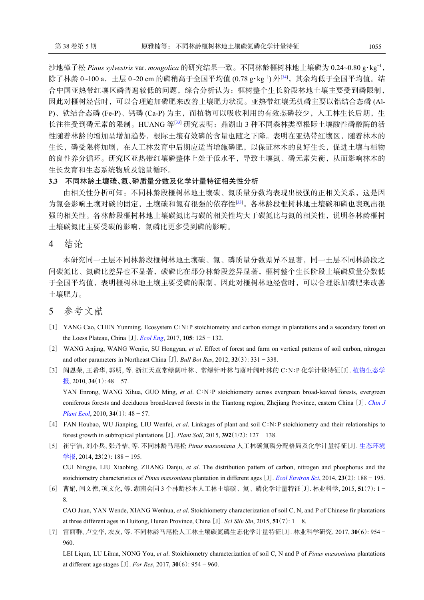沙地樟子松 *Pinus sylvestris* var. *mongolica* 的研究结果一致。不同林龄榧树林地土壤磷为 0.24~0.80 g·kg−1, 除了林龄 0~100 a, 土层 0~20 cm 的磷稍高于全国平均值 (0.78 g·kg<sup>-1</sup>) 外<sup>[\[34\]](#page-7-12)</sup>, 其余均低于全国平均值。结 合中国亚热带红壤区磷普遍较低的问题,综合分析认为:榧树整个生长阶段林地土壤主要受到磷限制, 因此对榧树经营时,可以合理施加磷肥来改善土壤肥力状况。亚热带红壤无机磷主要以铝结合态磷 (Al-P)、铁结合态磷 (Fe-P)、钙磷 (Ca-P) 为主,而植物可以吸收利用的有效态磷较少, 人工林生长后期, 生 长往往受到磷元素的限制。HUANG 等<sup>[[33](#page-7-11)]</sup> 研究表明: 鼎湖山 3 种不同森林类型根际土壤酸性磷酸酶的活 性随着林龄的增加呈增加趋势,根际土壤有效磷的含量也随之下降。表明在亚热带红壤区,随着林木的 生长,磷受限将加剧,在人工林发育中后期应适当增施磷肥,以保证林木的良好生长,促进土壤与植物 的良性养分循环。研究区亚热带红壤磷整体上处于低水平,导致土壤氮、磷元素失衡,从而影响林木的 生长发育和生态系统物质及能量循环。

### **3.3** 不同林龄土壤碳、氮、磷质量分数及化学计量特征相关性分析

由相关性分析可知:不同林龄段榧树林地土壤碳、氮质量分数均表现出极强的正相关关系,这是因 为氮会影响土壤对碳的固定,土壤碳和氮有很强的依存性[\[33](#page-7-11)]。各林龄段榧树林地土壤碳和磷也表现出很 强的相关性。各林龄段榧树林地土壤碳氮比与碳的相关性均大于碳氮比与氮的相关性,说明各林龄榧树 土壤碳氮比主要受碳的影响,氮磷比更多受到磷的影响。

4 结论

本研究同一土层不同林龄段榧树林地土壤碳、氮、磷质量分数差异不显著,同一土层不同林龄段之 间碳氮比、氮磷比差异也不显著,碳磷比在部分林龄段差异显著,榧树整个生长阶段土壤磷质量分数低 于全国平均值,表明榧树林地土壤主要受磷的限制,因此对榧树林地经营时,可以合理添加磷肥来改善 土壤肥力。

# 5 参考文献

- <span id="page-5-0"></span>[1] YANG Cao, CHEN Yunming. Ecosystem C∶N∶P stoichiometry and carbon storage in plantations and a secondary forest on the Loess Plateau, China [J]. *[Ecol Eng](https://doi.org/10.1016/j.ecoleng.2017.04.024)*, 2017, **105**: 125 − 132.
- <span id="page-5-1"></span>[2] WANG Anjing, WANG Wenjie, SU Hongyan, *et al*. Effect of forest and farm on vertical patterns of soil carbon, nitrogen and other parameters in Northeast China [J]. *Bull Bot Res*, 2012, **32**(3): 331 − 338.
- <span id="page-5-2"></span>[3] 阎恩荣, 王希华, 郭明, 等. 浙江天童常绿阔叶林、常绿针叶林与落叶阔叶林的 C∶N∶P 化学计量特征[J]. [植物生态学](https://doi.org/10.3773/j.issn.1005-264x.2010.01.008) [报](https://doi.org/10.3773/j.issn.1005-264x.2010.01.008), 2010, **34**(1): 48 − 57.

YAN Enrong, WANG Xihua, GUO Ming, *et al*. C∶N∶P stoichiometry across evergreen broad-leaved forests, evergreen coniferous forests and deciduous broad-leaved forests in the Tiantong region, Zhejiang Province, eastern China [J]. *[Chin J](https://doi.org/10.3773/j.issn.1005-264x.2010.01.008) [Plant Ecol](https://doi.org/10.3773/j.issn.1005-264x.2010.01.008)*, 2010, **34**(1): 48 − 57.

- <span id="page-5-3"></span>[4] FAN Houbao, WU Jianping, LIU Wenfei, *et al*. Linkages of plant and soil C∶N∶P stoichiometry and their relationships to forest growth in subtropical plantations [J]. *Plant Soil*, 2015, **392**(1/2): 127 − 138.
- <span id="page-5-4"></span>[5] 崔宁洁, 刘小兵, 张丹桔, 等. 不同林龄马尾松 *Pinus massoniana* 人工林碳氮磷分配格局及化学计量特征[J]. [生态环境](https://doi.org/10.3969/j.issn.1674-5906.2014.02.002) [学报](https://doi.org/10.3969/j.issn.1674-5906.2014.02.002), 2014, **23**(2): 188 − 195. CUI Ningjie, LIU Xiaobing, ZHANG Danju, *et al*. The distribution pattern of carbon, nitrogen and phosphorus and the stoichiometry characteristics of *Pinus massoniana* plantation in different ages [J]. *[Ecol Environ Sci](https://doi.org/10.3969/j.issn.1674-5906.2014.02.002)*, 2014, **23**(2): 188 − 195.
- <span id="page-5-5"></span>[6] 曹娟, 闫文德, 项文化, 等. 湖南会同 3 个林龄杉木人工林土壤碳、氮、磷化学计量特征[J]. 林业科学, 2015, **51**(7): 1 − 8.

CAO Juan, YAN Wende, XIANG Wenhua, *et al*. Stoichiometry characterization of soil C, N, and P of Chinese fir plantations at three different ages in Huitong, Hunan Province, China [J]. *Sci Silv Sin*, 2015, **51**(7): 1 − 8.

<span id="page-5-6"></span>[7] 雷丽群, 卢立华, 农友, 等. 不同林龄马尾松人工林土壤碳氮磷生态化学计量特征[J]. 林业科学研究, 2017, **30**(6): 954 − 960.

LEI Liqun, LU Lihua, NONG You, *et al*. Stoichiometry characterization of soil C, N and P of *Pinus massoniana* plantations at different age stages [J]. *For Res*, 2017, **30**(6): 954 − 960.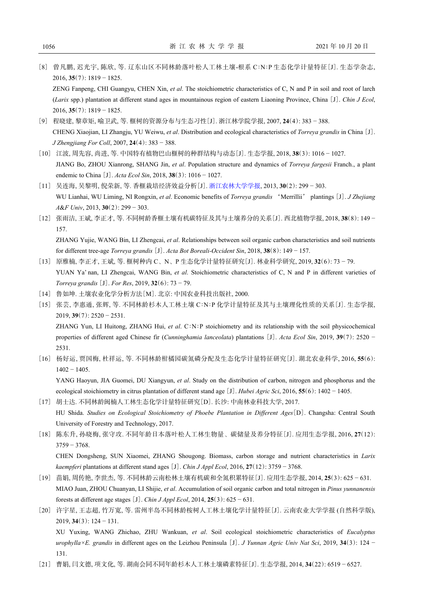<span id="page-6-0"></span>[8] 曾凡鹏, 迟光宇, 陈欣, 等. 辽东山区不同林龄落叶松人工林土壤-根系 C∶N∶P 生态化学计量特征[J]. 生态学杂志, 2016, **35**(7): 1819 − 1825.

ZENG Fanpeng, CHI Guangyu, CHEN Xin, *et al*. The stoichiometric characteristics of C, N and P in soil and root of larch (*Larix* spp.) plantation at different stand ages in mountainous region of eastern Liaoning Province, China [J]. *Chin J Ecol*, 2016, **35**(7): 1819 − 1825.

- <span id="page-6-1"></span>[9] 程晓建, 黎章矩, 喻卫武, 等. 榧树的资源分布与生态习性[J]. 浙江林学院学报, 2007, **24**(4): 383 − 388. CHENG Xiaojian, LI Zhangju, YU Weiwu, *et al*. Distribution and ecological characteristics of *Torreya grandis* in China [J]. *J Zhengjiang For Coll*, 2007, **24**(4): 383 − 388.
- <span id="page-6-2"></span>[10] 江波, 周先容, 尚进, 等. 中国特有植物巴山榧树的种群结构与动态[J]. 生态学报, 2018, **38**(3): 1016 − 1027. JIANG Bo, ZHOU Xianrong, SHANG Jin, *et al*. Population structure and dynamics of *Torreya fargesii* Franch., a plant endemic to China [J]. *Acta Ecol Sin*, 2018, **38**(3): 1016 − 1027.
- <span id="page-6-3"></span>[11] 吴连海, 吴黎明, 倪荣新, 等. 香榧栽培经济效益分析[J]. [浙江农林大学学报](https://doi.org/10.11833/j.issn.2095-0756.2013.02.023), 2013, **30**(2): 299 − 303. WU Lianhai, WU Liming, NI Rongxin, *et al*. Economic benefits of *Torreya grandis* 'Merrillii' plantings [J]. *J Zhejiang A*&*F Univ*, 2013, **30**(2): 299 − 303.
- <span id="page-6-4"></span>[12] 张雨洁, 王斌, 李正才, 等. 不同树龄香榧土壤有机碳特征及其与土壤养分的关系[J]. 西北植物学报, 2018, **38**(8): 149 − 157. ZHANG Yujie, WANG Bin, LI Zhengcai, *et al*. Relationships between soil organic carbon characteristics and soil nutrients for different tree-age *Torreya grandis* [J]. *Acta Bot Boreali-Occident Sin*, 2018, **38**(8): 149 − 157.
- <span id="page-6-5"></span>[13] 原雅楠, 李正才, 王斌, 等. 榧树种内 C、N、P 生态化学计量特征研究[J]. 林业科学研究, 2019, **32**(6): 73 − 79. YUAN Ya' nan, LI Zhengcai, WANG Bin, *et al.* Stoichiometric characteristics of C, N and P in different varieties of *Torreya grandis* [J]. *For Res*, 2019, **32**(6): 73 − 79.
- <span id="page-6-6"></span>[14] 鲁如坤. 土壤农业化学分析方法[M]. 北京: 中国农业科技出版社, 2000.
- <span id="page-6-7"></span>[15] 张芸, 李惠通, 张辉, 等. 不同林龄杉木人工林土壤 C∶N∶P 化学计量特征及其与土壤理化性质的关系[J]. 生态学报, 2019, **39**(7): 2520 − 2531.

ZHANG Yun, LI Huitong, ZHANG Hui, *et al*. C∶N∶P stoichiometry and its relationship with the soil physicochemical properties of different aged Chinese fir (*Cunninghamia lanceolata*) plantations [J]. *Acta Ecol Sin*, 2019, **39**(7): 2520 − 2531.

<span id="page-6-8"></span>[16] 杨好运, 贾国梅, 杜祥运, 等. 不同林龄柑橘园碳氮磷分配及生态化学计量特征研究[J]. 湖北农业科学, 2016, **55**(6): 1402 − 1405.

YANG Haoyun, JIA Guomei, DU Xiangyun, *et al*. Study on the distribution of carbon, nitrogen and phosphorus and the ecological stoichiometry in citrus plantation of different stand age [J]. *Hubei Agric Sci*, 2016, **55**(6): 1402 − 1405.

- <span id="page-6-9"></span>[17] 胡士达. 不同林龄闽楠人工林生态化学计量特征研究[D]. 长沙: 中南林业科技大学, 2017. HU Shida. *Studies on Ecological Stoichiometry of Phoebe Plantation in Different Ages*[D]. Changsha: Central South University of Forestry and Technology, 2017.
- <span id="page-6-10"></span>[18] 陈东升, 孙晓梅, 张守攻. 不同年龄日本落叶松人工林生物量、碳储量及养分特征[J]. 应用生态学报, 2016, **27**(12): 3759 − 3768.

CHEN Dongsheng, SUN Xiaomei, ZHANG Shougong. Biomass, carbon storage and nutrient characteristics in *Larix kaempferi* plantations at different stand ages [J]. *Chin J Appl Ecol*, 2016, **27**(12): 3759 − 3768.

- <span id="page-6-11"></span>[19] 苗娟, 周传艳, 李世杰, 等. 不同林龄云南松林土壤有机碳和全氮积累特征[J]. 应用生态学报, 2014, **25**(3): 625 − 631. MIAO Juan, ZHOU Chuanyan, LI Shijie, *et al*. Accumulation of soil organic carbon and total nitrogen in *Pinus yunnanensis* forests at different age stages [J]. *Chin J Appl Ecol*, 2014, **25**(3): 625 − 631.
- <span id="page-6-12"></span>[20] 许宇星, 王志超, 竹万宽, 等. 雷州半岛不同林龄桉树人工林土壤化学计量特征[J]. 云南农业大学学报 (自然科学版), 2019, **34**(3): 124 − 131. XU Yuxing, WANG Zhichao, ZHU Wankuan, *et al*. Soil ecological stoichiometric characteristics of *Eucalyptus urophylla×E. grandis* in different ages on the Leizhou Peninsula [J]. *J Yunnan Agric Univ Nat Sci*, 2019, **34**(3): 124 − 131.
- <span id="page-6-13"></span>[21] 曹娟, 闫文德, 项文化, 等. 湖南会同不同年龄杉木人工林土壤磷素特征[J]. 生态学报, 2014, **34**(22): 6519 − 6527.